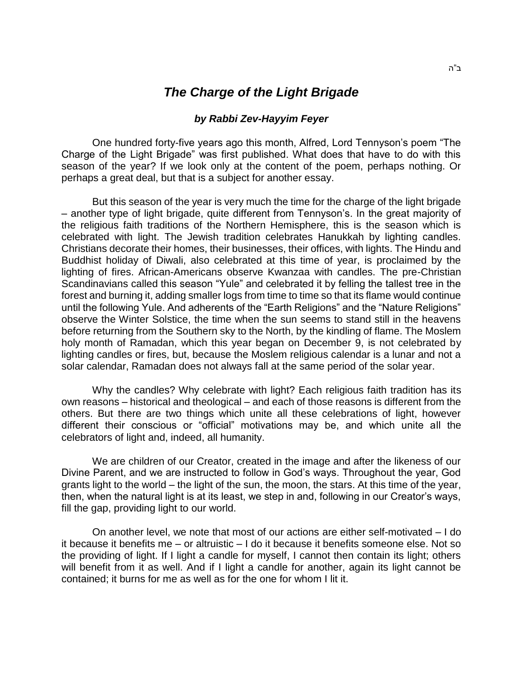## *The Charge of the Light Brigade*

## *by Rabbi Zev-Hayyim Feyer*

One hundred forty-five years ago this month, Alfred, Lord Tennyson's poem "The Charge of the Light Brigade" was first published. What does that have to do with this season of the year? If we look only at the content of the poem, perhaps nothing. Or perhaps a great deal, but that is a subject for another essay.

But this season of the year is very much the time for the charge of the light brigade – another type of light brigade, quite different from Tennyson's. In the great majority of the religious faith traditions of the Northern Hemisphere, this is the season which is celebrated with light. The Jewish tradition celebrates Hanukkah by lighting candles. Christians decorate their homes, their businesses, their offices, with lights. The Hindu and Buddhist holiday of Diwali, also celebrated at this time of year, is proclaimed by the lighting of fires. African-Americans observe Kwanzaa with candles. The pre-Christian Scandinavians called this season "Yule" and celebrated it by felling the tallest tree in the forest and burning it, adding smaller logs from time to time so that its flame would continue until the following Yule. And adherents of the "Earth Religions" and the "Nature Religions" observe the Winter Solstice, the time when the sun seems to stand still in the heavens before returning from the Southern sky to the North, by the kindling of flame. The Moslem holy month of Ramadan, which this year began on December 9, is not celebrated by lighting candles or fires, but, because the Moslem religious calendar is a lunar and not a solar calendar, Ramadan does not always fall at the same period of the solar year.

Why the candles? Why celebrate with light? Each religious faith tradition has its own reasons – historical and theological – and each of those reasons is different from the others. But there are two things which unite all these celebrations of light, however different their conscious or "official" motivations may be, and which unite all the celebrators of light and, indeed, all humanity.

We are children of our Creator, created in the image and after the likeness of our Divine Parent, and we are instructed to follow in God's ways. Throughout the year, God grants light to the world – the light of the sun, the moon, the stars. At this time of the year, then, when the natural light is at its least, we step in and, following in our Creator's ways, fill the gap, providing light to our world.

On another level, we note that most of our actions are either self-motivated – I do it because it benefits me – or altruistic – I do it because it benefits someone else. Not so the providing of light. If I light a candle for myself, I cannot then contain its light; others will benefit from it as well. And if I light a candle for another, again its light cannot be contained; it burns for me as well as for the one for whom I lit it.